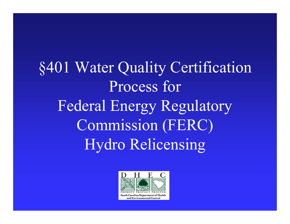§401 Water Quality Certification Process for Federal Energy Regulatory Commission (FERC) Hydro Relicensing

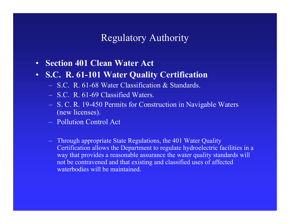### Regulatory Authority

- $\bullet$ **Section 401 Clean Water Act**
- **S.C. R. 61-101 Water Quality Certification**
	- S.C. R. 61-68 Water Classification & Standards.
	- S.C. R. 61-69 Classified Waters.
	- S. C. R. 19-450 Permits for Construction in Navigable Waters (new licenses).
	- Pollution Control Act
	- Through appropriate State Regulations, the 401 Water Quality Certification allows the Department to regulate hydroelectric facilities in a way that provides a reasonable assurance the water quality standards will not be contravened and that existing and classified uses of affected waterbodies will be maintained.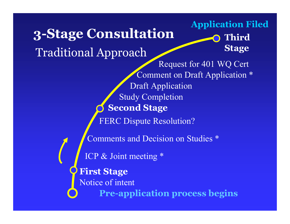**3-Stage Consultation Pre-application process begins First Stage Second Stage Third Stage** Notice of intent ICP & Joint meeting \* Traditional Approach Comments and Decision on Studies \* FERC Dispute Resolution? Study Completion Draft Application Comment on Draft Application \* Request for 401 WQ Cert **Application Filed**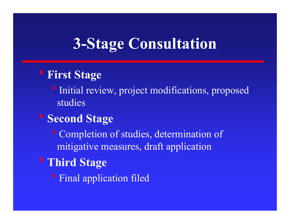# **3-Stage Consultation**

## <sup>8</sup>**First Stage**

Initial review, project modifications, proposed studies

## <sup>8</sup>**Second Stage**

Completion of studies, determination of mitigative measures, draft application

# <sup>8</sup>**Third Stage**

**Final application filed**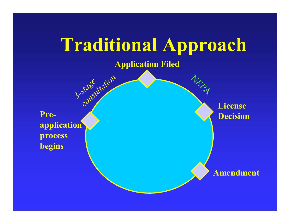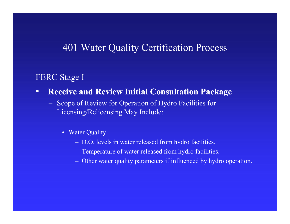FERC Stage I

- $\bullet$  **Receive and Review Initial Consultation Package**
	- Scope of Review for Operation of Hydro Facilities for Licensing/Relicensing May Include:
		- Water Quality
			- D.O. levels in water released from hydro facilities.
			- Temperature of water released from hydro facilities.
			- Other water quality parameters if influenced by hydro operation.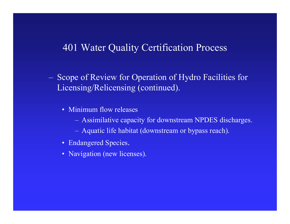- Scope of Review for Operation of Hydro Facilities for Licensing/Relicensing (continued).
	- Minimum flow releases
		- Assimilative capacity for downstream NPDES discharges.
		- Aquatic life habitat (downstream or bypass reach).
	- Endangered Species.
	- Navigation (new licenses).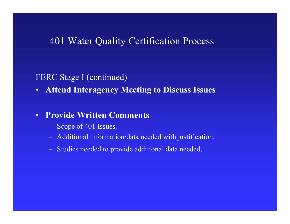#### FERC Stage I (continued)

•**Attend Interagency Meeting to Discuss Issues**

#### $\bullet$ **Provide Written Comments**

- Scope of 401 Issues.
- **Links and Construction** Additional information/data needed with justification.
- Studies needed to provide additional data needed.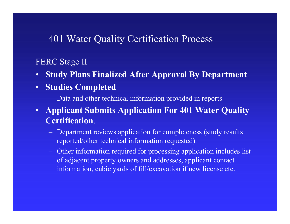#### FERC Stage II

- $\bullet$ **Study Plans Finalized After Approval By Department**
- $\bullet$  **Studies Completed**
	- Data and other technical information provided in reports
- **Applicant Submits Application For 401 Water Quality Certification**.
	- $-$  Department reviews application for completeness (study results reported/other technical information requested).
	- Other information required for processing application includes list of adjacent property owners and addresses, applicant contact information, cubic yards of fill/excavation if new license etc.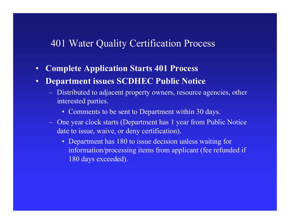- $\bullet$ **Complete Application Starts 401 Process**
- • **Department issues SCDHEC Public Notice**
	- Distributed to adjacent property owners, resource agencies, other interested parties.
		- Comments to be sent to Department within 30 days.
	- $-$  One year clock starts (Department has 1 year from Public Notice date to issue, waive, or deny certification).
		- Department has 180 to issue decision unless waiting for information/processing items from applicant (fee refunded if 180 days exceeded).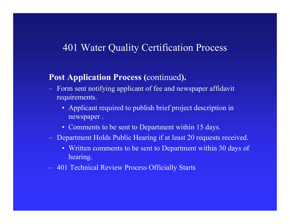#### **Post Application Process (**continued**).**

- Form sent notifying applicant of fee and newspaper affidavit requirements.
	- Applicant required to publish brief project description in newspaper .
	- Comments to be sent to Department within 15 days.
- Department Holds Public Hearing if at least 20 requests received.
	- Written comments to be sent to Department within 30 days of hearing.
- $-$ 401 Technical Review Process Officially Starts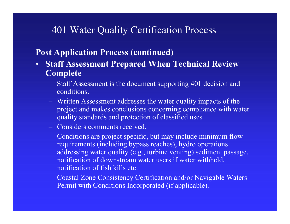#### **Post Application Process (continued)**

- $\bullet$  **Staff Assessment Prepared When Technical Review Complete**
	- **Links of the Company's Company's Company's**  Staff Assessment is the document supporting 401 decision and conditions.
	- **Links and Construction**  Written Assessment addresses the water quality impacts of the project and makes conclusions concerning compliance with water quality standards and protection of classified uses.
	- Considers comments received.
	- **Links and Construction**  Conditions are project specific, but may include minimum flow requirements (including bypass reaches), hydro operations addressing water quality (e.g., turbine venting) sediment passage, notification of downstream water users if water withheld, notification of fish kills etc.
	- $-$  Coastal Zone Consistency Certification and/or Navigable Waters Permit with Conditions Incorporated (if applicable).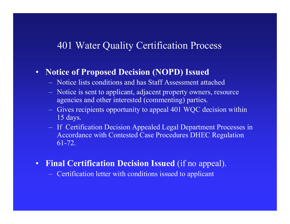#### $\bullet$ **Notice of Proposed Decision (NOPD) Issued**

- Notice lists conditions and has Staff Assessment attached
- and the contract of the contract of Notice is sent to applicant, adjacent property owners, resource agencies and other interested (commenting) parties.
- and the contract of the contract of Gives recipients opportunity to appeal 401 WQC decision within 15 days.
- – If Certification Decision Appealed Legal Department Processes in Accordance with Contested Case Procedures DHEC Regulation 61-72.
- $\bullet$ **Final Certification Decision Issued** (if no appeal).

Certification letter with conditions issued to applicant